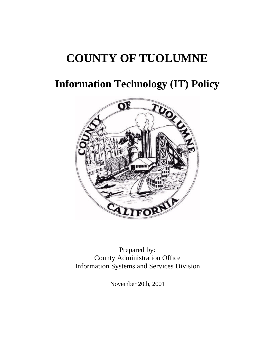# **COUNTY OF TUOLUMNE**

# **Information Technology (IT) Policy**



Prepared by: County Administration Office Information Systems and Services Division

November 20th, 2001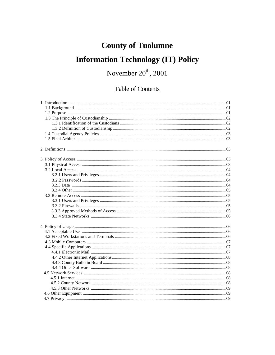# **County of Tuolumne**

# **Information Technology (IT) Policy**

# November  $20^{\text{th}}$ , 2001

## **Table of Contents**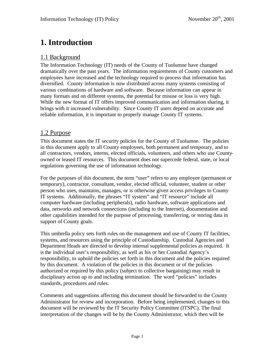# **1. Introduction**

### 1.1 Background

The Information Technology (IT) needs of the County of Tuolumne have changed dramatically over the past years. The information requirements of County customers and employees have increased and the technology required to process that information has diversified. County information is now distributed across many systems consisting of various combinations of hardware and software. Because information can appear in many formats and on different systems, the potential for misuse or loss is very high. While the new format of IT offers improved communication and information sharing, it brings with it increased vulnerability. Since County IT users depend on accurate and reliable information, it is important to properly manage County IT systems.

#### 1.2 Purpose

This document states the IT security policies for the County of Tuolumne. The policies in this document apply to all County employees, both permanent and temporary, and to all contractors, vendors, interns, elected officials, volunteers, and others who use Countyowned or leased IT resources. This document does not supercede federal, state, or local regulations governing the use of information technology.

For the purposes of this document, the term "user" refers to any employee (permanent or temporary), contractor, consultant, vendor, elected official, volunteer, student or other person who uses, maintains, manages, or is otherwise given access privileges to County IT systems. Additionally, the phrases "IT system" and "IT resource" include all computer hardware (including peripherals), radio hardware, software applications and data, networks and network connections (including to the Internet), documentation and other capabilities intended for the purpose of processing, transferring, or storing data in support of County goals.

This umbrella policy sets forth rules on the management and use of County IT facilities, systems, and resources using the principle of Custodianship. Custodial Agencies and Department Heads are directed to develop internal supplemental policies as required. It is the individual user's responsibility, as well as his or her Custodial Agency's responsibility, to uphold the policies set forth in this document and the policies required by this document. A violation of the policies in this document or of the policies authorized or required by this policy (subject to collective bargaining) may result in disciplinary action up to and including termination. The word "policies" includes standards, procedures and rules.

Comments and suggestions affecting this document should be forwarded to the County Administrator for review and incorporation. Before being implemented, changes to this document will be reviewed by the IT Security Policy Committee (ITSPC). The final interpretation of the changes will be by the County Administrator, which then will be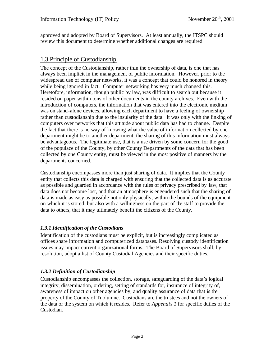approved and adopted by Board of Supervisors. At least annually, the ITSPC should review this document to determine whether additional changes are required

#### 1.3 Principle of Custodianship

The concept of the Custodianship, rather than the ownership of data, is one that has always been implicit in the management of public information. However, prior to the widespread use of computer networks, it was a concept that could be honored in theory while being ignored in fact. Computer networking has very much changed this. Heretofore, information, though public by law, was difficult to search out because it resided on paper within tons of other documents in the county archives. Even with the introduction of computers, the information that was entered into the electronic medium was on stand-alone devices, allowing each department to have a feeling of ownership rather than custodianship due to the insularity of the data. It was only with the linking of computers over networks that this attitude about public data has had to change. Despite the fact that there is no way of knowing what the value of information collected by one department might be to another department, the sharing of this information must always be advantageous. The legitimate use, that is a use driven by some concern for the good of the populace of the County, by other County Departments of the data that has been collected by one County entity, must be viewed in the most positive of manners by the departments concerned.

Custodianship encompasses more than just sharing of data. It implies that the County entity that collects this data is charged with ensuring that the collected data is as accurate as possible and guarded in accordance with the rules of privacy prescribed by law, that data does not become lost, and that an atmosphere is engendered such that the sharing of data is made as easy as possible not only physically, within the bounds of the equipment on which it is stored, but also with a willingness on the part of the staff to provide the data to others, that it may ultimately benefit the citizens of the County.

#### *1.3.1 Identification of the Custodians*

Identification of the custodians must be explicit, but is increasingly complicated as offices share information and computerized databases. Resolving custody identification issues may impact current organizational forms. The Board of Supervisors shall, by resolution, adopt a list of County Custodial Agencies and their specific duties.

#### *1.3.2 Definition of Custodianship*

Custodianship encompasses the collection, storage, safeguarding of the data's logical integrity, dissemination, ordering, setting of standards for, insurance of integrity of, awareness of impact on other agencies by, and quality assurance of data that is the property of the County of Tuolumne. Custodians are the trustees and not the owners of the data or the system on which it resides. Refer to *Appendix 1* for specific duties of the Custodian.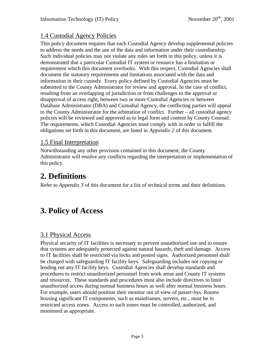## 1.4 Custodial Agency Policies

This policy document requires that each Custodial Agency develop supplemental policies to address the needs and the use of the data and information under their custodianship. Such individual policies may not violate any rules set forth in this policy, unless it is demonstrated that a particular Custodial IT system or resource has a limitation or requirement which this document overlooks. With this respect, Custodial Agencies shall document the statutory requirements and limitations associated with the data and information in their custody. Every policy defined by Custodial Agencies must be submitted to the County Administrator for review and approval. In the case of conflict, resulting from an overlapping of jurisdiction or from challenges to the approval or disapproval of access right, between two or more Custodial Agencies or between Database Administrator (DBA) and Custodial Agency, the conflicting parties will appeal to the County Administrator for the arbitration of conflict. Further – all custodial agency policies will be reviewed and approved as to legal form and content by County Counsel. The requirements, which Custodial Agencies must comply with in order to fulfill the obligations set forth in this document, are listed in *Appendix 2* of this document.

### 1.5 Final Interpretation

Notwithstanding any other provision contained in this document, the County Administrator will resolve any conflicts regarding the interpretation or implementation of this policy.

# **2. Definitions**

Refer to *Appendix 3* of this document for a list of technical terms and their definitions.

# **3. Policy of Access**

## 3.1 Physical Access

Physical security of IT facilities is necessary to prevent unauthorized use and to ensure that systems are adequately protected against natural hazards, theft and damage. Access to IT facilities shall be restricted via locks and posted signs. Authorized personnel shall be charged with safeguarding IT facility keys. Safeguarding includes not copying or lending out any IT facility keys. Custodial Agencies shall develop standards and procedures to restrict unauthorized personnel from work areas and County IT systems and resources. These standards and procedures must also include directives to limit unauthorized access during normal business hours as well after normal business hours. For example, users should position their monitor out of view of passer-bys. Rooms housing significant IT components, such as mainframes, servers, etc., must be in restricted access zones. Access to such zones must be controlled, authorized, and monitored as appropriate.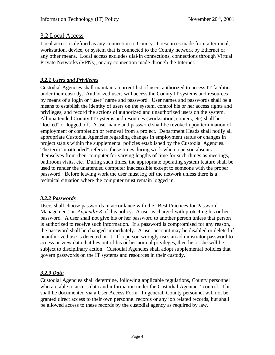#### 3.2 Local Access

Local access is defined as any connection to County IT resources made from a terminal, workstation, device, or system that is connected to the County network by Ethernet or any other means. Local access excludes dial-in connections, connections through Virtual Private Networks (VPNs), or any connection made through the Internet.

#### *3.2.1 Users and Privileges*

Custodial Agencies shall maintain a current list of users authorized to access IT facilities under their custody. Authorized users will access the County IT systems and resources by means of a login or "user" name and password. User names and passwords shall be a means to establish the identity of users on the system, control his or her access rights and privileges, and record the actions of authorized and unauthorized users on the system. All unattended County IT systems and resources (workstation, copiers, etc) shall be "locked" or logged off. A user name and password shall be revoked upon termination of employment or completion or removal from a project. Department Heads shall notify all appropriate Custodial Agencies regarding changes in employment status or changes in project status within the supplemental policies established by the Custodial Agencies. The term "unattended" refers to those times during work when a person absents themselves from their computer for varying lengths of time for such things as meetings, bathroom visits, etc. During such times, the appropriate operating system feature shall be used to render the unattended computer inaccessible except to someone with the proper password. Before leaving work the user must log off the network unless there is a technical situation where the computer must remain logged in.

#### *3.2.2 Passwords*

Users shall choose passwords in accordance with the "Best Practices for Password Management" in *Appendix 3* of this policy. A user is charged with protecting his or her password. A user shall not give his or her password to another person unless that person is authorized to receive such information. If a password is compromised for any reason, the password shall be changed immediately. A user account may be disabled or deleted if unauthorized use is detected on it. If a person wrongly uses an administrator password to access or view data that lies out of his or her normal privileges, then he or she will be subject to disciplinary action. Custodial Agencies shall adopt supplemental policies that govern passwords on the IT systems and resources in their custody.

#### *3.2.3 Data*

Custodial Agencies shall determine, following applicable regulations, County personnel who are able to access data and information under the Custodial Agencies' control. This shall be documented via a User Access Form. In general, County personnel will not be granted direct access to their own personnel records or any job related records, but shall be allowed access to these records by the custodial agency as required by law.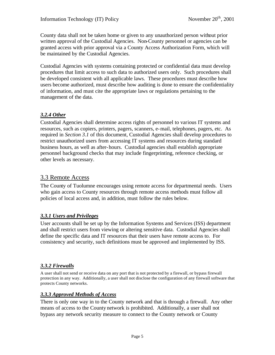County data shall not be taken home or given to any unauthorized person without prior written approval of the Custodial Agencies. Non-County personnel or agencies can be granted access with prior approval via a County Access Authorization Form, which will be maintained by the Custodial Agencies.

Custodial Agencies with systems containing protected or confidential data must develop procedures that limit access to such data to authorized users only. Such procedures shall be developed consistent with all applicable laws. These procedures must describe how users become authorized, must describe how auditing is done to ensure the confidentiality of information, and must cite the appropriate laws or regulations pertaining to the management of the data.

#### *3.2.4 Other*

Custodial Agencies shall determine access rights of personnel to various IT systems and resources, such as copiers, printers, pagers, scanners, e-mail, telephones, pagers, etc. As required in *Section 3.1* of this document, Custodial Agencies shall develop procedures to restrict unauthorized users from accessing IT systems and resources during standard business hours, as well as after-hours. Custodial agencies shall establish appropriate personnel background checks that may include fingerprinting, reference checking, or other levels as necessary.

#### 3.3 Remote Access

The County of Tuolumne encourages using remote access for departmental needs. Users who gain access to County resources through remote access methods must follow all policies of local access and, in addition, must follow the rules below.

#### *3.3.1 Users and Privileges*

User accounts shall be set up by the Information Systems and Services (ISS) department and shall restrict users from viewing or altering sensitive data. Custodial Agencies shall define the specific data and IT resources that their users have remote access to. For consistency and security, such definitions must be approved and implemented by ISS.

#### *3.3.2 Firewalls*

A user shall not send or receive data on any port that is not protected by a firewall, or bypass firewall protection in any way. Additionally, a user shall not disclose the configuration of any firewall software that protects County networks.

#### *3.3.3 Approved Methods of Access*

There is only one way in to the County network and that is through a firewall. Any other means of access to the County network is prohibited. Additionally, a user shall not bypass any network security measure to connect to the County network or County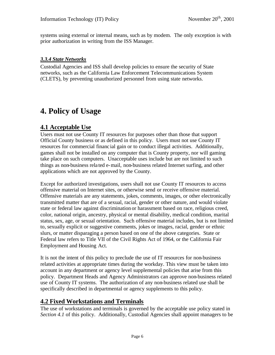systems using external or internal means, such as by modem. The only exception is with prior authorization in writing from the ISS Manager.

#### *3.3.4 State Networks*

Custodial Agencies and ISS shall develop policies to ensure the security of State networks, such as the California Law Enforcement Telecommunications System (CLETS), by preventing unauthorized personnel from using state networks.

# **4. Policy of Usage**

### **4.1 Acceptable Use**

Users must not use County IT resources for purposes other than those that support Official County business or as defined in this policy. Users must not use County IT resources for commercial financ ial gain or to conduct illegal activities. Additionally, games shall not be installed on any computer that is County property, nor will gaming take place on such computers. Unacceptable uses include but are not limited to such things as non-business rela ted e-mail, non-business related Internet surfing, and other applications which are not approved by the County.

Except for authorized investigations, users shall not use County IT resources to access offensive material on Internet sites, or otherwise send or receive offensive material. Offensive materials are any statements, jokes, comments, images, or other electronically transmitted matter that are of a sexual, racial, gender or other nature, and would violate state or federal law against discrimination or harassment based on race, religious creed, color, national origin, ancestry, physical or mental disability, medical condition, marital status, sex, age, or sexual orientation. Such offensive material includes, but is not limited to, sexually explicit or suggestive comments, jokes or images, racial, gender or ethnic slurs, or matter disparaging a person based on one of the above categories. State or Federal law refers to Title VII of the Civil Rights Act of 1964, or the California Fair Employment and Housing Act.

It is not the intent of this policy to preclude the use of IT resources for non-business related activities at appropriate times during the workday. This view must be taken into account in any department or agency level supplemental policies that arise from this policy. Department Heads and Agency Administrators can approve non-business related use of County IT systems. The authorization of any non-business related use shall be specifically described in departmental or agency supplements to this policy.

### **4.2 Fixed Workstations and Terminals**

The use of workstations and terminals is governed by the acceptable use policy stated in *Section 4.1* of this policy. Additionally, Custodial Agencies shall appoint managers to be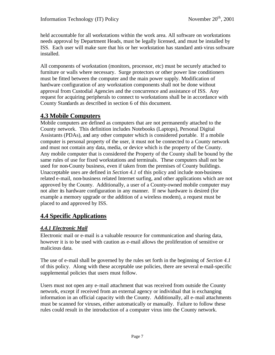held accountable for all workstations within the work area. All software on workstations needs approval by Department Heads, must be legally licensed, and must be installed by ISS. Each user will make sure that his or her workstation has standard anti-virus software installed.

All components of workstation (monitors, processor, etc) must be securely attached to furniture or walls where necessary. Surge protectors or other power line conditioners must be fitted between the computer and the main power supply. Modification of hardware configuration of any workstation components shall not be done without approval from Custodial Agencies and the concurrence and assistance of ISS. Any request for acquiring peripherals to connect to workstations shall be in accordance with County Standards as described in section 6 of this document.

### **4.3 Mobile Computers**

Mobile computers are defined as computers that are not permanently attached to the County network. This definition includes Notebooks (Laptops), Personal Digital Assistants (PDAs), and any other computer which is considered portable. If a mobile computer is personal property of the user, it must not be connected to a County network and must not contain any data, media, or device which is the property of the County. Any mobile computer that is considered the Property of the County shall be bound by the same rules of use for fixed workstations and terminals. These computers shall not be used for non-County business, even if taken from the premises of County buildings. Unacceptable uses are defined in *Section 4.1* of this policy and include non-business related e-mail, non-business related Internet surfing, and other applications which are not approved by the County. Additionally, a user of a County-owned mobile computer may not alter its hardware configuration in any manner. If new hardware is desired (for example a memory upgrade or the addition of a wireless modem), a request must be placed to and approved by ISS.

### **4.4 Specific Applications**

#### *4.4.1 Electronic Mail*

Electronic mail or e-mail is a valuable resource for communication and sharing data, however it is to be used with caution as e-mail allows the proliferation of sensitive or malicious data.

The use of e-mail shall be governed by the rules set forth in the beginning of *Section 4.1* of this policy. Along with these acceptable use policies, there are several e-mail-specific supplemental policies that users must follow.

Users must not open any e-mail attachment that was received from outside the County network, except if received from an external agency or individual that is exchanging information in an official capacity with the County. Additionally, all e-mail attachments must be scanned for viruses, either automatically or manually. Failure to follow these rules could result in the introduction of a computer virus into the County network.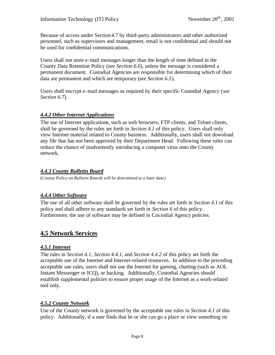Because of access under Section 4.7 by third-party administrators and other authorized personnel, such as supervisors and management, email is not confidential and should not be used for confidential communications.

Users shall not store e-mail messages longer than the length of time defined in the County Data Retention Policy (*see Section 6.6*), unless the message is considered a permanent document. Custodial Agencies are responsible for determining which of their data are permanent and which are temporary (*see Section 6.5*).

Users shall encrypt e-mail messages as required by their specific Custodial Agency (*see Section 6.7*).

#### *4.4.2 Other Internet Applications*

The use of Internet applications, such as web browsers, FTP clients, and Telnet clients, shall be governed by the rules set forth in *Section 4.1* of this policy. Users shall only view Internet material related to County business. Additionally, users shall not download any file that has not been approved by their Department Head. Following these rules can reduce the chance of inadvertently introducing a computer virus onto the County network.

#### *4.4.3 County Bulletin Board*

(*County Policy on Bulletin Boards will be determined at a later date.)*

#### *4.4.4 Other Software*

The use of all other software shall be governed by the rules set forth in *Section 4.1* of this policy and shall adhere to any standards set forth in *Section 6* of this policy. Furthermore, the use of software may be defined in Custodial Agency policies.

#### **4.5 Network Services**

#### *4.5.1 Internet*

The rules in *Section 4.1*, *Section 4.4.1,* and *Section 4.4.2* of this policy set forth the acceptable use of the Internet and Internet-related resources. In addition to the preceding acceptable use rules, users shall not use the Internet for gaming, chatting (such as AOL Instant Messenger or ICQ), or hacking. Additionally, Custodial Agencies should establish supplemental policies to ensure proper usage of the Internet as a work-related tool only.

#### *4.5.2 County Network*

Use of the County network is governed by the acceptable use rules in *Section 4.1* of this policy. Additionally, if a user finds that he or she can go a place or view something on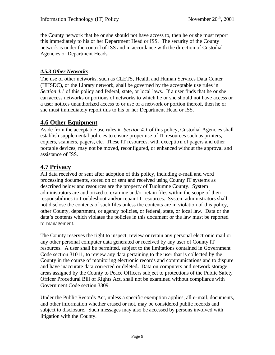the County network that he or she should not have access to, then he or she must report this immediately to his or her Department Head or ISS. The security of the County network is under the control of ISS and in accordance with the direction of Custodial Agencies or Department Heads.

#### *4.5.3 Other Networks*

The use of other networks, such as CLETS, Health and Human Services Data Center (HHSDC), or the Library network, shall be governed by the acceptable use rules in *Section 4.1* of this policy and federal, state, or local laws. If a user finds that he or she can access networks or portions of networks to which he or she should not have access or a user notices unauthorized access to or use of a network or portion thereof, then he or she must immediately report this to his or her Department Head or ISS.

### **4.6 Other Equipment**

Aside from the acceptable use rules in *Section 4.1* of this policy, Custodial Agencies shall establish supplemental policies to ensure proper use of IT resources such as printers, copiers, scanners, pagers, etc. These IT resources, with exception of pagers and other portable devices, may not be moved, reconfigured, or enhanced without the approval and assistance of ISS.

### **4.7 Privacy**

All data received or sent after adoption of this policy, including e-mail and word processing documents, stored on or sent and received using County IT systems as described below and resources are the property of Tuolumne County. System administrators are authorized to examine and/or retain files within the scope of their responsibilities to troubleshoot and/or repair IT resources. System administrators shall not disclose the contents of such files unless the contents are in violation of this policy, other County, department, or agency policies, or federal, state, or local law. Data or the data's contents which violates the policies in this document or the law must be reported to management.

The County reserves the right to inspect, review or retain any personal electronic mail or any other personal computer data generated or received by any user of County IT resources. A user shall be permitted, subject to the limitations contained in Government Code section 31011, to review any data pertaining to the user that is collected by the County in the course of monitoring electronic records and communications and to dispute and have inaccurate data corrected or deleted**.** Data on computers and network storage areas assigned by the County to Peace Officers subject to protections of the Public Safety Officer Procedural Bill of Rights Act, shall not be examined without compliance with Government Code section 3309.

Under the Public Records Act, unless a specific exemption applies, all e-mail, documents, and other information whether erased or not, may be considered public records and subject to disclosure. Such messages may also be accessed by persons involved with litigation with the County.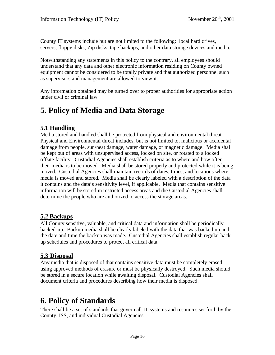County IT systems include but are not limited to the following: local hard drives, servers, floppy disks, Zip disks, tape backups, and other data storage devices and media.

Notwithstanding any statements in this policy to the contrary, all employees should understand that any data and other electronic information residing on County owned equipment cannot be considered to be totally private and that authorized personnel such as supervisors and management are allowed to view it.

Any information obtained may be turned over to proper authorities for appropriate action under civil or criminal law.

# **5. Policy of Media and Data Storage**

### **5.1 Handling**

Media stored and handled shall be protected from physical and environmental threat. Physical and Environmental threat includes, but is not limited to, malicious or accidental damage from people, sun/heat damage, water damage, or magnetic damage. Media shall be kept out of areas with unsupervised access, locked on site, or rotated to a locked offsite facility. Custodial Agencies shall establish criteria as to where and how often their media is to be moved. Media shall be stored properly and protected while it is being moved. Custodial Agencies shall maintain records of dates, times, and locations where media is moved and stored. Media shall be clearly labeled with a description of the data it contains and the data's sensitivity level, if applicable. Media that contains sensitive information will be stored in restricted access areas and the Custodial Agencies shall determine the people who are authorized to access the storage areas.

### **5.2 Backups**

All County sensitive, valuable, and critical data and information shall be periodically backed-up. Backup media shall be clearly labeled with the data that was backed up and the date and time the backup was made. Custodial Agencies shall establish regular back up schedules and procedures to protect all critical data.

### **5.3 Disposal**

Any media that is disposed of that contains sensitive data must be completely erased using approved methods of erasure or must be physically destroyed. Such media should be stored in a secure location while awaiting disposal. Custodial Agencies shall document criteria and procedures describing how their media is disposed.

# **6. Policy of Standards**

There shall be a set of standards that govern all IT systems and resources set forth by the County, ISS, and individual Custodial Agencies.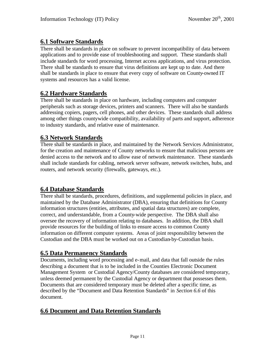### **6.1 Software Standards**

There shall be standards in place on software to prevent incompatibility of data between applications and to provide ease of troubleshooting and support. These standards shall include standards for word processing, Internet access applications, and virus protection. There shall be standards to ensure that virus definitions are kept up to date. And there shall be standards in place to ensure that every copy of software on County-owned IT systems and resources has a valid license.

### **6.2 Hardware Standards**

There shall be standards in place on hardware, including computers and computer peripherals such as storage devices, printers and scanners. There will also be standards addressing copiers, pagers, cell phones, and other devices. These standards shall address among other things countywide compatibility, availability of parts and support, adherence to industry standards, and relative ease of maintenance.

### **6.3 Network Standards**

There shall be standards in place, and maintained by the Network Services Administrator, for the creation and maintenance of County networks to ensure that malicious persons are denied access to the network and to allow ease of network maintenance. These standards shall include standards for cabling, network server software, network switches, hubs, and routers, and network security (firewalls, gateways, etc.).

### **6.4 Database Standards**

There shall be standards, procedures, definitions, and supplemental policies in place, and maintained by the Database Administrator (DBA), ensuring that definitions for County information structures (entities, attributes, and spatial data structures) are complete, correct, and understandable, from a County-wide perspective. The DBA shall also oversee the recovery of information relating to databases. In addition, the DBA shall provide resources for the building of links to ensure access to common County information on different computer systems. Areas of joint responsibility between the Custodian and the DBA must be worked out on a Custodian-by-Custodian basis.

### **6.5 Data Permanency Standards**

Documents, including word processing and e-mail, and data that fall outside the rules describing a document that is to be included in the Counties Electronic Document Management System or Custodial Agency/County databases are considered temporary, unless deemed permanent by the Custodial Agency or department that possesses them. Documents that are considered temporary must be deleted after a specific time, as described by the "Document and Data Retention Standards" in *Section 6.6* of this document.

#### **6.6 Document and Data Retention Standards**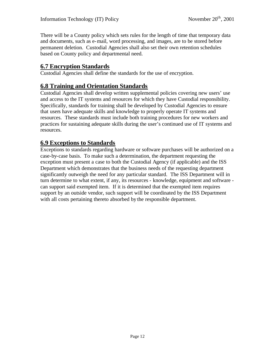There will be a County policy which sets rules for the length of time that temporary data and documents, such as e-mail, word processing, and images, are to be stored before permanent deletion. Custodial Agencies shall also set their own retention schedules based on County policy and departmental need.

#### **6.7 Encryption Standards**

Custodial Agencies shall define the standards for the use of encryption.

#### **6.8 Training and Orientation Standards**

Custodial Agencies shall develop written supplemental policies covering new users' use and access to the IT systems and resources for which they have Custodial responsibility. Specifically, standards for training shall be developed by Custodial Agencies to ensure that users have adequate skills and knowledge to properly operate IT systems and resources. These standards must include both training procedures for new workers and practices for sustaining adequate skills during the user's continued use of IT systems and resources.

#### **6.9 Exceptions to Standards**

Exceptions to standards regarding hardware or software purchases will be authorized on a case-by-case basis. To make such a determination, the department requesting the exception must present a case to both the Custodial Agency (if applicable) and the ISS Department which demonstrates that the business needs of the requesting department significantly outweigh the need for any particular standard. The ISS Department will in turn determine to what extent, if any, its resources - knowledge, equipment and software can support said exempted item. If it is determined that the exempted item requires support by an outside vendor, such support will be coordinated by the ISS Department with all costs pertaining thereto absorbed by the responsible department.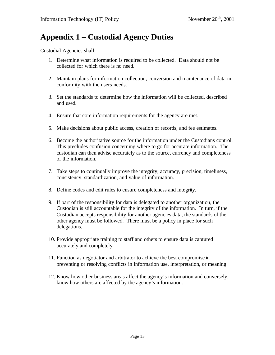# **Appendix 1 – Custodial Agency Duties**

Custodial Agencies shall:

- 1. Determine what information is required to be collected. Data should not be collected for which there is no need.
- 2. Maintain plans for information collection, conversion and maintenance of data in conformity with the users needs.
- 3. Set the standards to determine how the information will be collected, described and used.
- 4. Ensure that core information requirements for the agency are met.
- 5. Make decisions about public access, creation of records, and fee estimates.
- 6. Become the authoritative source for the information under the Custodians control. This precludes confusion concerning where to go for accurate information. The custodian can then advise accurately as to the source, currency and completeness of the information.
- 7. Take steps to continually improve the integrity, accuracy, precision, timeliness, consistency, standardization, and value of information.
- 8. Define codes and edit rules to ensure completeness and integrity.
- 9. If part of the responsibility for data is delegated to another organization, the Custodian is still accountable for the integrity of the information. In turn, if the Custodian accepts responsibility for another agencies data, the standards of the other agency must be followed. There must be a policy in place for such delegations.
- 10. Provide appropriate training to staff and others to ensure data is captured accurately and completely.
- 11. Function as negotiator and arbitrator to achieve the best compromise in preventing or resolving conflicts in information use, interpretation, or meaning.
- 12. Know how other business areas affect the agency's information and conversely, know how others are affected by the agency's information.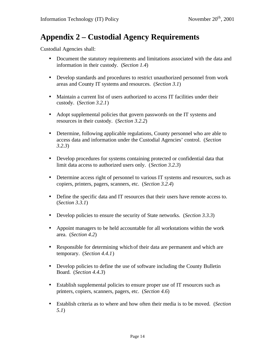# **Appendix 2 – Custodial Agency Requirements**

Custodial Agencies shall:

- Document the statutory requirements and limitations associated with the data and information in their custody. (*Section 1.4*)
- Develop standards and procedures to restrict unauthorized personnel from work areas and County IT systems and resources. (*Section 3.1*)
- Maintain a current list of users authorized to access IT facilities under their custody. (*Section 3.2.1*)
- Adopt supplemental policies that govern passwords on the IT systems and resources in their custody. (*Section 3.2.2*)
- Determine, following applicable regulations, County personnel who are able to access data and information under the Custodial Agencies' control. (*Section 3.2.3*)
- Develop procedures for systems containing protected or confidential data that limit data access to authorized users only. (*Section 3.2.3*)
- Determine access right of personnel to various IT systems and resources, such as copiers, printers, pagers, scanners, etc. (*Section 3.2.4*)
- Define the specific data and IT resources that their users have remote access to. (*Section 3.3.1*)
- Develop policies to ensure the security of State networks. *(Section 3.3.3)*
- Appoint managers to be held accountable for all workstations within the work area. (*Section 4.2*)
- Responsible for determining which of their data are permanent and which are temporary. (*Section 4.4.1*)
- Develop policies to define the use of software including the County Bulletin Board. (*Section 4.4.3*)
- Establish supplemental policies to ensure proper use of IT resources such as printers, copiers, scanners, pagers, etc. (*Section 4.6*)
- Establish criteria as to where and how often their media is to be moved. (*Section 5.1*)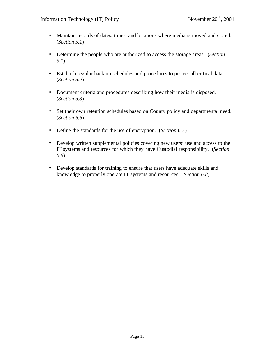- Maintain records of dates, times, and locations where media is moved and stored. (*Section 5.1*)
- Determine the people who are authorized to access the storage areas. (*Section 5.1*)
- Establish regular back up schedules and procedures to protect all critical data. (*Section 5.2*)
- Document criteria and procedures describing how their media is disposed. (*Section 5.3*)
- Set their own retention schedules based on County policy and departmental need. (*Section 6.6*)
- Define the standards for the use of encryption. (*Section 6.7*)
- Develop written supplemental policies covering new users' use and access to the IT systems and resources for which they have Custodial responsibility. (*Section 6.8*)
- Develop standards for training to ensure that users have adequate skills and knowledge to properly operate IT systems and resources. (*Section 6.8*)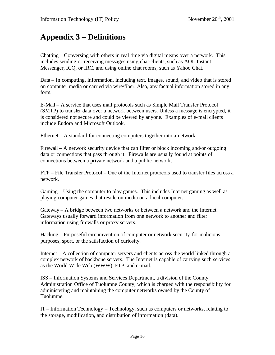# **Appendix 3 – Definitions**

Chatting – Conversing with others in real time via digital means over a network. This includes sending or receiving messages using chat-clients, such as AOL Instant Messenger, ICQ, or IRC, and using online chat rooms, such as Yahoo Chat.

Data – In computing, information, including text, images, sound, and video that is stored on computer media or carried via wire/fiber. Also, any factual information stored in any form.

E-Mail – A service that uses mail protocols such as Simple Mail Transfer Protocol (SMTP) to transfer data over a network between users. Unless a message is encrypted, it is considered not secure and could be viewed by anyone. Examples of e-mail clients include Eudora and Microsoft Outlook.

Ethernet – A standard for connecting computers together into a network.

Firewall – A network security device that can filter or block incoming and/or outgoing data or connections that pass through it. Firewalls are usually found at points of connections between a private network and a public network.

FTP – File Transfer Protocol – One of the Internet protocols used to transfer files across a network.

Gaming – Using the computer to play games. This includes Internet gaming as well as playing computer games that reside on media on a local computer.

Gateway – A bridge between two networks or between a network and the Internet. Gateways usually forward information from one network to another and filter information using firewalls or proxy servers.

Hacking – Purposeful circumvention of computer or network security for malicious purposes, sport, or the satisfaction of curiosity.

Internet – A collection of computer servers and clients across the world linked through a complex network of backbone servers. The Internet is capable of carrying such services as the World Wide Web (WWW), FTP, and e-mail.

ISS – Information Systems and Services Department, a division of the County Administration Office of Tuolumne County, which is charged with the responsibility for administering and maintaining the computer networks owned by the County of Tuolumne.

IT – Information Technology – Technology, such as computers or networks, relating to the storage, modification, and distribution of information (data).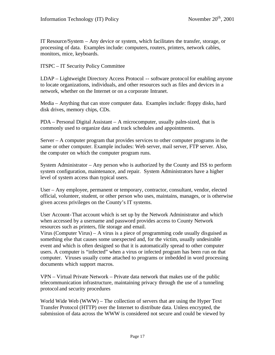IT Resource/System – Any device or system, which facilitates the transfer, storage, or processing of data. Examples include: computers, routers, printers, network cables, monitors, mice, keyboards.

ITSPC – IT Security Policy Committee

LDAP – Lightweight Directory Access Protocol -- software protocol for enabling anyone to locate organizations, individuals, and other resources such as files and devices in a network, whether on the Internet or on a corporate Intranet.

Media – Anything that can store computer data. Examples include: floppy disks, hard disk drives, memory chips, CDs.

PDA – Personal Digital Assistant – A microcomputer, usually palm-sized, that is commonly used to organize data and track schedules and appointments.

Server – A computer program that provides services to other computer programs in the same or other computer. Example includes: Web server, mail server, FTP server. Also, the computer on which the computer program runs.

System Administrator – Any person who is authorized by the County and ISS to perform system configuration, maintenance, and repair. System Administrators have a higher level of system access than typical users.

User – Any employee, permanent or temporary, contractor, consultant, vendor, elected official, volunteer, student, or other person who uses, maintains, manages, or is otherwise given access privileges on the County's IT systems.

User Account-That account which is set up by the Network Administrator and which when accessed by a username and password provides access to County Network resources such as printers, file storage and email.

Virus (Computer Virus) – A virus is a piece of programming code usually disguised as something else that causes some unexpected and, for the victim, usually undesirable event and which is often designed so that it is automatically spread to other computer users. A computer is "infected" when a virus or infected program has been run on that computer. Viruses usually come attached to programs or imbedded in word processing documents which support macros.

VPN – Virtual Private Network – Private data network that makes use of the public telecommunication infrastructure, maintaining privacy through the use of a tunneling protocol and security procedures

World Wide Web (WWW) – The collection of servers that are using the Hyper Text Transfer Protocol (HTTP) over the Internet to distribute data. Unless encrypted, the submission of data across the WWW is considered not secure and could be viewed by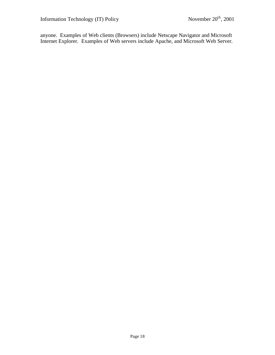anyone. Examples of Web clients (Browsers) include Netscape Navigator and Microsoft Internet Explorer. Examples of Web servers include Apache, and Microsoft Web Server.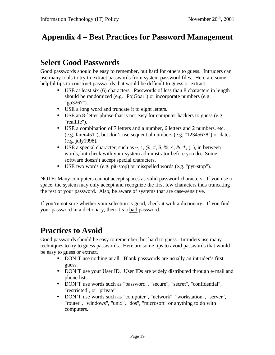# **Appendix 4 – Best Practices for Password Management**

# **Select Good Passwords**

Good passwords should be easy to remember, but hard for others to guess. Intruders can use many tools to try to extract passwords from system password files. Here are some helpful tips to construct passwords that would be difficult to guess or extract.

- USE at least six (6) characters. Passwords of less than 8 characters in length should be randomized (e.g. "PojGoar") or incorporate numbers (e.g. "go3267").
- USE a long word and truncate it to eight letters.
- USE an 8-letter phrase that is not easy for computer hackers to guess (e.g. "reallife").
- USE a combination of 7 letters and a number, 6 letters and 2 numbers, etc. (e.g. faren451"), but don't use sequential numbers (e.g. "12345678") or dates (e.g. july1998).
- USE a special character, such as  $\sim$ ,  $\ldots$ ,  $\omega$ ,  $\#$ ,  $\frac{1}{2}$ ,  $\omega$ ,  $\sim$ ,  $\frac{1}{2}$ ,  $\omega$ ,  $\sim$ ,  $\frac{1}{2}$ ,  $\omega$ ,  $\sim$ ,  $\frac{1}{2}$ ,  $\omega$ ,  $\sim$ ,  $\frac{1}{2}$ ,  $\omega$ ,  $\sim$ ,  $\frac{1}{2}$ ,  $\omega$ ,  $\sim$ ,  $\frac{1}{2}$ ,  $\omega$ ,  $\sim$ , words, but check with your system administrator before you do. Some software doesn't accept special characters.
- USE two words (e.g. pit-stop) or misspelled words (e.g. "pyt-stop").

NOTE: Many computers cannot accept spaces as valid password characters. If you use a space, the system may only accept and recognize the first few characters thus truncating the rest of your password. Also, be aware of systems that are case-sensitive.

If you're not sure whether your selection is good, check it with a dictionary. If you find your password in a dictionary, then it's a bad password.

# **Practices to Avoid**

Good passwords should be easy to remember, but hard to guess. Intruders use many techniques to try to guess passwords. Here are some tips to avoid passwords that would be easy to guess or extract.

- DON'T use nothing at all. Blank passwords are usually an intruder's first guess.
- DON'T use your User ID. User IDs are widely distributed through e-mail and phone lists.
- DON'T use words such as "password", "secure", "secret", "confidential", "restricted", or "private".
- DON'T use words such as "computer", "network", "workstation", "server", "router", "windows", "unix", "dos", "microsoft" or anything to do with computers.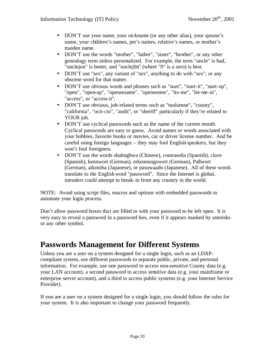- DON'T use your name, your nickname (or any other alias), your spouse's name, your children's names, pet's names, relative's names, or mother's maiden name.
- DON'T use the words "mother", "father", "sister", "brother", or any other genealogy term unless personalized. For example, the term "uncle" is bad, "unclejon" is better, and "unclej0n" (where "0" is a zero) is best.
- DON'T use "sex", any variant of "sex", anything to do with "sex", or any obscene word for that matter.
- DON'T use obvious words and phrases such as "start", "start-it", "start-up", "open", "open-up", "opensesame", "opensezme", "its-me", "let-me-in", "access", or "access-it".
- DON'T use obvious, job-related terms such as "tuolumne", "county", "california", "ocit-cio", "audit", or "sheriff" particularly if they're related to YOUR job.
- DON'T use cyclical passwords such as the name of the current month. Cyclical passwords are easy to guess. Avoid names or words associated with your hobbies, favorite books or movies, car or driver license number. And be careful using foreign languages – they may fool English-speakers, but they won't fool foreigners.
- DON'T use the words shahnghwa (Chinese), contraseña (Spanish), clave (Spanish), kennwort (German), erkennungswort (German), Paßwort (German), aikotoba (Japanese), or pasuwaado (Japanese). All of these words translate to the English word "password". Since the Internet is global, intruders could attempt to break-in from any country in the world.

NOTE: Avoid using script files, macros and options with embedded passwords to automate your login process.

Don't allow password boxes tha t are filled in with your password to be left open. It is very easy to reveal a password in a password box, even if it appears masked by asterisks or any other symbol.

# **Passwords Management for Different Systems**

Unless you are a user on a system designed for a single login, such as an LDAPcompliant system, use different passwords to separate public, private, and personal information. For example, use one password to access non-sensitive County data (e.g. your LAN account), a second password to access sensitive data (e.g. your mainframe or enterprise server account), and a third to access public systems (e.g. your Internet Service Provider).

If you are a user on a system designed for a single login, you should follow the rules for your system. It is also important to change your password frequently.